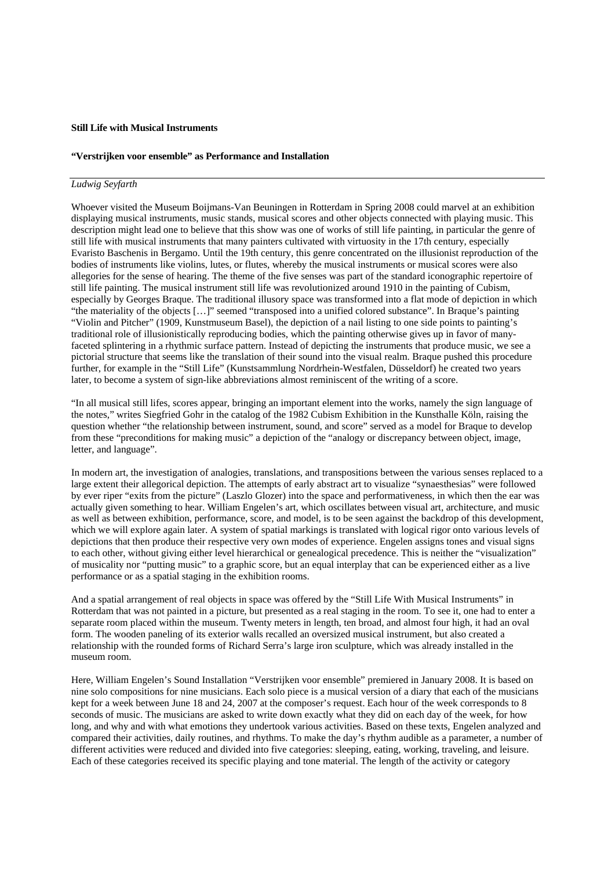## **Still Life with Musical Instruments**

## **"Verstrijken voor ensemble" as Performance and Installation**

## *Ludwig Seyfarth*

Whoever visited the Museum Boijmans-Van Beuningen in Rotterdam in Spring 2008 could marvel at an exhibition displaying musical instruments, music stands, musical scores and other objects connected with playing music. This description might lead one to believe that this show was one of works of still life painting, in particular the genre of still life with musical instruments that many painters cultivated with virtuosity in the 17th century, especially Evaristo Baschenis in Bergamo. Until the 19th century, this genre concentrated on the illusionist reproduction of the bodies of instruments like violins, lutes, or flutes, whereby the musical instruments or musical scores were also allegories for the sense of hearing. The theme of the five senses was part of the standard iconographic repertoire of still life painting. The musical instrument still life was revolutionized around 1910 in the painting of Cubism, especially by Georges Braque. The traditional illusory space was transformed into a flat mode of depiction in which "the materiality of the objects […]" seemed "transposed into a unified colored substance". In Braque's painting "Violin and Pitcher" (1909, Kunstmuseum Basel), the depiction of a nail listing to one side points to painting's traditional role of illusionistically reproducing bodies, which the painting otherwise gives up in favor of manyfaceted splintering in a rhythmic surface pattern. Instead of depicting the instruments that produce music, we see a pictorial structure that seems like the translation of their sound into the visual realm. Braque pushed this procedure further, for example in the "Still Life" (Kunstsammlung Nordrhein-Westfalen, Düsseldorf) he created two years later, to become a system of sign-like abbreviations almost reminiscent of the writing of a score.

"In all musical still lifes, scores appear, bringing an important element into the works, namely the sign language of the notes," writes Siegfried Gohr in the catalog of the 1982 Cubism Exhibition in the Kunsthalle Köln, raising the question whether "the relationship between instrument, sound, and score" served as a model for Braque to develop from these "preconditions for making music" a depiction of the "analogy or discrepancy between object, image, letter, and language".

In modern art, the investigation of analogies, translations, and transpositions between the various senses replaced to a large extent their allegorical depiction. The attempts of early abstract art to visualize "synaesthesias" were followed by ever riper "exits from the picture" (Laszlo Glozer) into the space and performativeness, in which then the ear was actually given something to hear. William Engelen's art, which oscillates between visual art, architecture, and music as well as between exhibition, performance, score, and model, is to be seen against the backdrop of this development, which we will explore again later. A system of spatial markings is translated with logical rigor onto various levels of depictions that then produce their respective very own modes of experience. Engelen assigns tones and visual signs to each other, without giving either level hierarchical or genealogical precedence. This is neither the "visualization" of musicality nor "putting music" to a graphic score, but an equal interplay that can be experienced either as a live performance or as a spatial staging in the exhibition rooms.

And a spatial arrangement of real objects in space was offered by the "Still Life With Musical Instruments" in Rotterdam that was not painted in a picture, but presented as a real staging in the room. To see it, one had to enter a separate room placed within the museum. Twenty meters in length, ten broad, and almost four high, it had an oval form. The wooden paneling of its exterior walls recalled an oversized musical instrument, but also created a relationship with the rounded forms of Richard Serra's large iron sculpture, which was already installed in the museum room.

Here, William Engelen's Sound Installation "Verstrijken voor ensemble" premiered in January 2008. It is based on nine solo compositions for nine musicians. Each solo piece is a musical version of a diary that each of the musicians kept for a week between June 18 and 24, 2007 at the composer's request. Each hour of the week corresponds to 8 seconds of music. The musicians are asked to write down exactly what they did on each day of the week, for how long, and why and with what emotions they undertook various activities. Based on these texts, Engelen analyzed and compared their activities, daily routines, and rhythms. To make the day's rhythm audible as a parameter, a number of different activities were reduced and divided into five categories: sleeping, eating, working, traveling, and leisure. Each of these categories received its specific playing and tone material. The length of the activity or category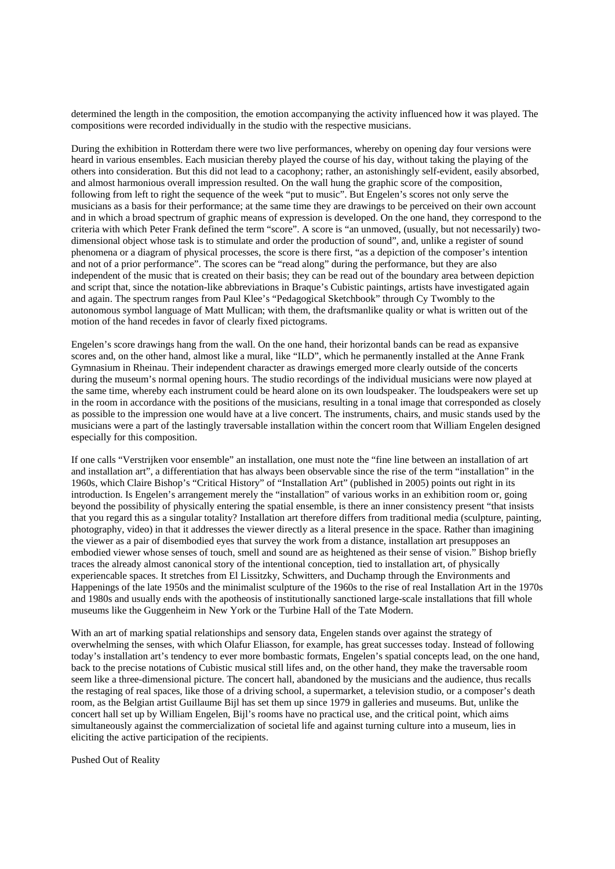determined the length in the composition, the emotion accompanying the activity influenced how it was played. The compositions were recorded individually in the studio with the respective musicians.

During the exhibition in Rotterdam there were two live performances, whereby on opening day four versions were heard in various ensembles. Each musician thereby played the course of his day, without taking the playing of the others into consideration. But this did not lead to a cacophony; rather, an astonishingly self-evident, easily absorbed, and almost harmonious overall impression resulted. On the wall hung the graphic score of the composition, following from left to right the sequence of the week "put to music". But Engelen's scores not only serve the musicians as a basis for their performance; at the same time they are drawings to be perceived on their own account and in which a broad spectrum of graphic means of expression is developed. On the one hand, they correspond to the criteria with which Peter Frank defined the term "score". A score is "an unmoved, (usually, but not necessarily) twodimensional object whose task is to stimulate and order the production of sound", and, unlike a register of sound phenomena or a diagram of physical processes, the score is there first, "as a depiction of the composer's intention and not of a prior performance". The scores can be "read along" during the performance, but they are also independent of the music that is created on their basis; they can be read out of the boundary area between depiction and script that, since the notation-like abbreviations in Braque's Cubistic paintings, artists have investigated again and again. The spectrum ranges from Paul Klee's "Pedagogical Sketchbook" through Cy Twombly to the autonomous symbol language of Matt Mullican; with them, the draftsmanlike quality or what is written out of the motion of the hand recedes in favor of clearly fixed pictograms.

Engelen's score drawings hang from the wall. On the one hand, their horizontal bands can be read as expansive scores and, on the other hand, almost like a mural, like "ILD", which he permanently installed at the Anne Frank Gymnasium in Rheinau. Their independent character as drawings emerged more clearly outside of the concerts during the museum's normal opening hours. The studio recordings of the individual musicians were now played at the same time, whereby each instrument could be heard alone on its own loudspeaker. The loudspeakers were set up in the room in accordance with the positions of the musicians, resulting in a tonal image that corresponded as closely as possible to the impression one would have at a live concert. The instruments, chairs, and music stands used by the musicians were a part of the lastingly traversable installation within the concert room that William Engelen designed especially for this composition.

If one calls "Verstrijken voor ensemble" an installation, one must note the "fine line between an installation of art and installation art", a differentiation that has always been observable since the rise of the term "installation" in the 1960s, which Claire Bishop's "Critical History" of "Installation Art" (published in 2005) points out right in its introduction. Is Engelen's arrangement merely the "installation" of various works in an exhibition room or, going beyond the possibility of physically entering the spatial ensemble, is there an inner consistency present "that insists that you regard this as a singular totality? Installation art therefore differs from traditional media (sculpture, painting, photography, video) in that it addresses the viewer directly as a literal presence in the space. Rather than imagining the viewer as a pair of disembodied eyes that survey the work from a distance, installation art presupposes an embodied viewer whose senses of touch, smell and sound are as heightened as their sense of vision." Bishop briefly traces the already almost canonical story of the intentional conception, tied to installation art, of physically experiencable spaces. It stretches from El Lissitzky, Schwitters, and Duchamp through the Environments and Happenings of the late 1950s and the minimalist sculpture of the 1960s to the rise of real Installation Art in the 1970s and 1980s and usually ends with the apotheosis of institutionally sanctioned large-scale installations that fill whole museums like the Guggenheim in New York or the Turbine Hall of the Tate Modern.

With an art of marking spatial relationships and sensory data, Engelen stands over against the strategy of overwhelming the senses, with which Olafur Eliasson, for example, has great successes today. Instead of following today's installation art's tendency to ever more bombastic formats, Engelen's spatial concepts lead, on the one hand, back to the precise notations of Cubistic musical still lifes and, on the other hand, they make the traversable room seem like a three-dimensional picture. The concert hall, abandoned by the musicians and the audience, thus recalls the restaging of real spaces, like those of a driving school, a supermarket, a television studio, or a composer's death room, as the Belgian artist Guillaume Bijl has set them up since 1979 in galleries and museums. But, unlike the concert hall set up by William Engelen, Bijl's rooms have no practical use, and the critical point, which aims simultaneously against the commercialization of societal life and against turning culture into a museum, lies in eliciting the active participation of the recipients.

Pushed Out of Reality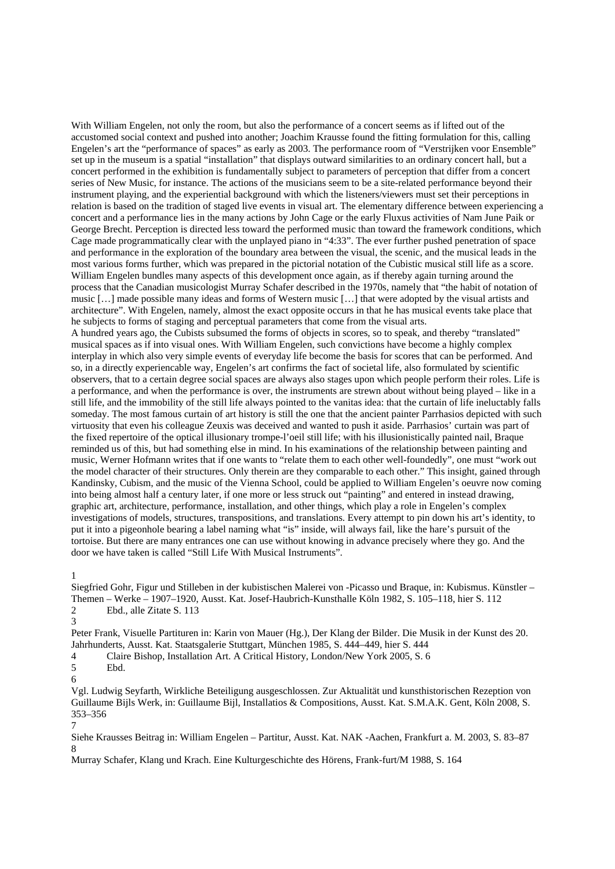With William Engelen, not only the room, but also the performance of a concert seems as if lifted out of the accustomed social context and pushed into another; Joachim Krausse found the fitting formulation for this, calling Engelen's art the "performance of spaces" as early as 2003. The performance room of "Verstrijken voor Ensemble" set up in the museum is a spatial "installation" that displays outward similarities to an ordinary concert hall, but a concert performed in the exhibition is fundamentally subject to parameters of perception that differ from a concert series of New Music, for instance. The actions of the musicians seem to be a site-related performance beyond their instrument playing, and the experiential background with which the listeners/viewers must set their perceptions in relation is based on the tradition of staged live events in visual art. The elementary difference between experiencing a concert and a performance lies in the many actions by John Cage or the early Fluxus activities of Nam June Paik or George Brecht. Perception is directed less toward the performed music than toward the framework conditions, which Cage made programmatically clear with the unplayed piano in "4:33". The ever further pushed penetration of space and performance in the exploration of the boundary area between the visual, the scenic, and the musical leads in the most various forms further, which was prepared in the pictorial notation of the Cubistic musical still life as a score. William Engelen bundles many aspects of this development once again, as if thereby again turning around the process that the Canadian musicologist Murray Schafer described in the 1970s, namely that "the habit of notation of music […] made possible many ideas and forms of Western music […] that were adopted by the visual artists and architecture". With Engelen, namely, almost the exact opposite occurs in that he has musical events take place that he subjects to forms of staging and perceptual parameters that come from the visual arts.

A hundred years ago, the Cubists subsumed the forms of objects in scores, so to speak, and thereby "translated" musical spaces as if into visual ones. With William Engelen, such convictions have become a highly complex interplay in which also very simple events of everyday life become the basis for scores that can be performed. And so, in a directly experiencable way, Engelen's art confirms the fact of societal life, also formulated by scientific observers, that to a certain degree social spaces are always also stages upon which people perform their roles. Life is a performance, and when the performance is over, the instruments are strewn about without being played – like in a still life, and the immobility of the still life always pointed to the vanitas idea: that the curtain of life ineluctably falls someday. The most famous curtain of art history is still the one that the ancient painter Parrhasios depicted with such virtuosity that even his colleague Zeuxis was deceived and wanted to push it aside. Parrhasios' curtain was part of the fixed repertoire of the optical illusionary trompe-l'oeil still life; with his illusionistically painted nail, Braque reminded us of this, but had something else in mind. In his examinations of the relationship between painting and music, Werner Hofmann writes that if one wants to "relate them to each other well-foundedly", one must "work out the model character of their structures. Only therein are they comparable to each other." This insight, gained through Kandinsky, Cubism, and the music of the Vienna School, could be applied to William Engelen's oeuvre now coming into being almost half a century later, if one more or less struck out "painting" and entered in instead drawing, graphic art, architecture, performance, installation, and other things, which play a role in Engelen's complex investigations of models, structures, transpositions, and translations. Every attempt to pin down his art's identity, to put it into a pigeonhole bearing a label naming what "is" inside, will always fail, like the hare's pursuit of the tortoise. But there are many entrances one can use without knowing in advance precisely where they go. And the door we have taken is called "Still Life With Musical Instruments".

1

Siegfried Gohr, Figur und Stilleben in der kubistischen Malerei von -Picasso und Braque, in: Kubismus. Künstler – Themen – Werke – 1907–1920, Ausst. Kat. Josef-Haubrich-Kunsthalle Köln 1982, S. 105–118, hier S. 112 2 Ebd., alle Zitate S. 113

3

Peter Frank, Visuelle Partituren in: Karin von Mauer (Hg.), Der Klang der Bilder. Die Musik in der Kunst des 20. Jahrhunderts, Ausst. Kat. Staatsgalerie Stuttgart, München 1985, S. 444–449, hier S. 444

4 Claire Bishop, Installation Art. A Critical History, London/New York 2005, S. 6

5 Ebd.

6

Vgl. Ludwig Seyfarth, Wirkliche Beteiligung ausgeschlossen. Zur Aktualität und kunsthistorischen Rezeption von Guillaume Bijls Werk, in: Guillaume Bijl, Installatios & Compositions, Ausst. Kat. S.M.A.K. Gent, Köln 2008, S. 353–356

7

Siehe Krausses Beitrag in: William Engelen – Partitur, Ausst. Kat. NAK -Aachen, Frankfurt a. M. 2003, S. 83–87 8

Murray Schafer, Klang und Krach. Eine Kulturgeschichte des Hörens, Frank-furt/M 1988, S. 164